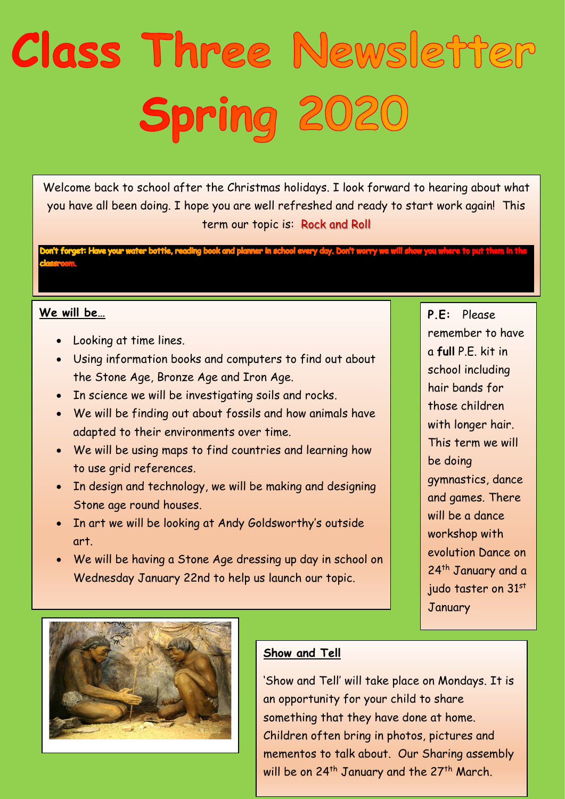## Class Three Newsletter Spring 2020

Welcome back to school after the Christmas holidays. I look forward to hearing about what you have all been doing. I hope you are well refreshed and ready to start work again! This term our topic is: Rock and Roll

ing book and planner in school every day. Don't worry (

## **We will be…**

- Looking at time lines.
- Using information books and computers to find out about the Stone Age, Bronze Age and Iron Age.
- In science we will be investigating soils and rocks.
- We will be finding out about fossils and how animals have adapted to their environments over time.
- We will be using maps to find countries and learning how to use grid references.
- In design and technology, we will be making and designing Stone age round houses.
- In art we will be looking at Andy Goldsworthy's outside art.
- We will be having a Stone Age dressing up day in school on Wednesday January 22nd to help us launch our topic.

**P.E:** Please remember to have a **full** P.E. kit in school including hair bands for those children with longer hair. This term we will be doing gymnastics, dance and games. There will be a dance workshop with evolution Dance on 24<sup>th</sup> January and a judo taster on 31st January



## **Show and Tell**

'Show and Tell' will take place on Mondays. It is an opportunity for your child to share something that they have done at home. Children often bring in photos, pictures and mementos to talk about. Our Sharing assembly will be on 24<sup>th</sup> January and the 27<sup>th</sup> March.